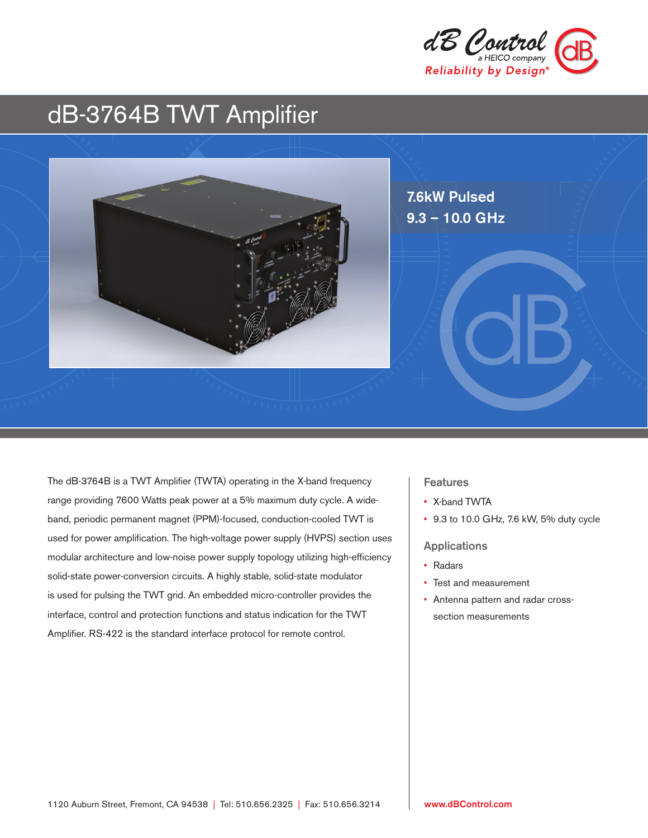

# dB-3764B TWT Amplifier



The dB-3764B is a TWT Amplifier (TWTA) operating in the X-band frequency range providing 7600 Watts peak power at a 5% maximum duty cycle. A wideband, periodic permanent magnet (PPM)-focused, conduction-cooled TWT is used for power amplification. The high-voltage power supply (HVPS) section uses modular architecture and low-noise power supply topology utilizing high-efficiency solid-state power-conversion circuits. A highly stable, solid-state modulator is used for pulsing the TWT grid. An embedded micro-controller provides the interface, control and protection functions and status indication for the TWT Amplifier. RS-422 is the standard interface protocol for remote control.

## Features

- X-band TWTA
- 9.3 to 10.0 GHz, 7.6 kW, 5% duty cycle

#### Applications

- Radars
- Test and measurement
- Antenna pattern and radar crosssection measurements